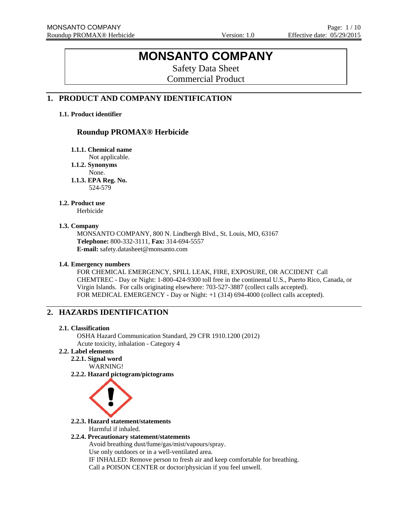# **MONSANTO COMPANY**

Safety Data Sheet Commercial Product

## **1. PRODUCT AND COMPANY IDENTIFICATION**

### **1.1. Product identifier**

## **Roundup PROMAX® Herbicide**

**1.1.1. Chemical name** 

Not applicable.

**1.1.2. Synonyms** 

None.

**1.1.3. EPA Reg. No.**  524-579

### **1.2. Product use**

Herbicide

#### **1.3. Company**

MONSANTO COMPANY, 800 N. Lindbergh Blvd., St. Louis, MO, 63167 **Telephone:** 800-332-3111, **Fax:** 314-694-5557 **E-mail:** safety.datasheet@monsanto.com

### **1.4. Emergency numbers**

FOR CHEMICAL EMERGENCY, SPILL LEAK, FIRE, EXPOSURE, OR ACCIDENT Call CHEMTREC - Day or Night: 1-800-424-9300 toll free in the continental U.S., Puerto Rico, Canada, or Virgin Islands. For calls originating elsewhere: 703-527-3887 (collect calls accepted). FOR MEDICAL EMERGENCY - Day or Night: +1 (314) 694-4000 (collect calls accepted).

## **2. HAZARDS IDENTIFICATION**

#### **2.1. Classification**

OSHA Hazard Communication Standard, 29 CFR 1910.1200 (2012) Acute toxicity, inhalation - Category 4

## **2.2. Label elements**

**2.2.1. Signal word** WARNING!

**2.2.2. Hazard pictogram/pictograms**



**2.2.3. Hazard statement/statements**  Harmful if inhaled.

### **2.2.4. Precautionary statement/statements**

Avoid breathing dust/fume/gas/mist/vapours/spray. Use only outdoors or in a well-ventilated area. IF INHALED: Remove person to fresh air and keep comfortable for breathing. Call a POISON CENTER or doctor/physician if you feel unwell.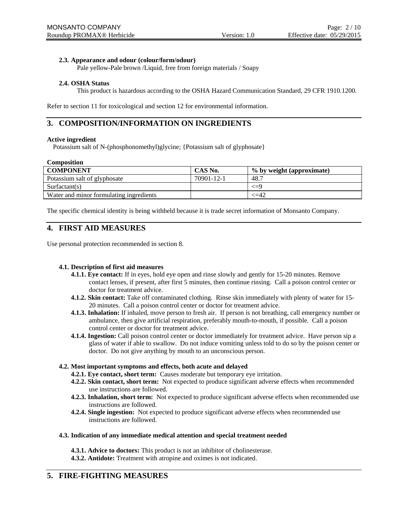### **2.3. Appearance and odour (colour/form/odour)**

Pale yellow-Pale brown /Liquid, free from foreign materials / Soapy

#### **2.4. OSHA Status**

This product is hazardous according to the OSHA Hazard Communication Standard, 29 CFR 1910.1200.

Refer to section 11 for toxicological and section 12 for environmental information.

## **3. COMPOSITION/INFORMATION ON INGREDIENTS**

#### **Active ingredient**

Potassium salt of N-(phosphonomethyl)glycine; {Potassium salt of glyphosate}

#### **Composition**

| <b>COMPONENT</b>                        | CAS No.    | % by weight (approximate) |
|-----------------------------------------|------------|---------------------------|
| Potassium salt of glyphosate            | 70901-12-1 | 48.7                      |
| Surfactant(s)                           |            | <=9                       |
| Water and minor formulating ingredients |            | <=42                      |

The specific chemical identity is being withheld because it is trade secret information of Monsanto Company.

## **4. FIRST AID MEASURES**

Use personal protection recommended in section 8.

#### **4.1. Description of first aid measures**

- **4.1.1. Eye contact:** If in eyes, hold eye open and rinse slowly and gently for 15-20 minutes. Remove contact lenses, if present, after first 5 minutes, then continue rinsing. Call a poison control center or doctor for treatment advice.
- **4.1.2. Skin contact:** Take off contaminated clothing. Rinse skin immediately with plenty of water for 15- 20 minutes. Call a poison control center or doctor for treatment advice.
- **4.1.3. Inhalation:** If inhaled, move person to fresh air. If person is not breathing, call emergency number or ambulance, then give artificial respiration, preferably mouth-to-mouth, if possible. Call a poison control center or doctor for treatment advice.
- **4.1.4. Ingestion:** Call poison control center or doctor immediately for treatment advice. Have person sip a glass of water if able to swallow. Do not induce vomiting unless told to do so by the poison center or doctor. Do not give anything by mouth to an unconscious person.

#### **4.2. Most important symptoms and effects, both acute and delayed**

- **4.2.1. Eye contact, short term:** Causes moderate but temporary eye irritation.
- **4.2.2. Skin contact, short term:** Not expected to produce significant adverse effects when recommended use instructions are followed.
- **4.2.3. Inhalation, short term:** Not expected to produce significant adverse effects when recommended use instructions are followed.
- **4.2.4. Single ingestion:** Not expected to produce significant adverse effects when recommended use instructions are followed.

#### **4.3. Indication of any immediate medical attention and special treatment needed**

**4.3.1. Advice to doctors:** This product is not an inhibitor of cholinesterase. **4.3.2. Antidote:** Treatment with atropine and oximes is not indicated.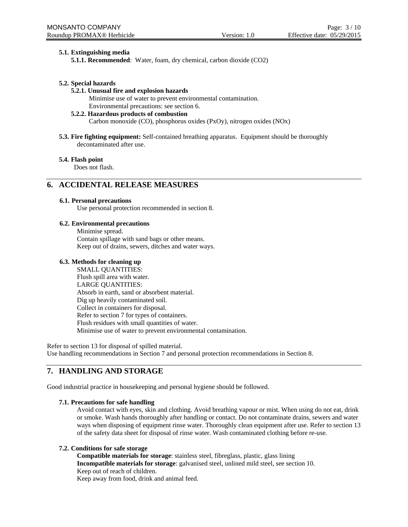### **5.1. Extinguishing media**

**5.1.1. Recommended**: Water, foam, dry chemical, carbon dioxide (CO2)

#### **5.2. Special hazards**

**5.2.1. Unusual fire and explosion hazards** Minimise use of water to prevent environmental contamination. Environmental precautions: see section 6.

#### **5.2.2. Hazardous products of combustion**

Carbon monoxide (CO), phosphorus oxides (PxOy), nitrogen oxides (NOx)

**5.3. Fire fighting equipment:** Self-contained breathing apparatus. Equipment should be thoroughly decontaminated after use.

#### **5.4. Flash point**

Does not flash.

## **6. ACCIDENTAL RELEASE MEASURES**

#### **6.1. Personal precautions**

Use personal protection recommended in section 8.

#### **6.2. Environmental precautions**

Minimise spread. Contain spillage with sand bags or other means. Keep out of drains, sewers, ditches and water ways.

#### **6.3. Methods for cleaning up**

SMALL QUANTITIES: Flush spill area with water. LARGE QUANTITIES: Absorb in earth, sand or absorbent material. Dig up heavily contaminated soil. Collect in containers for disposal. Refer to section 7 for types of containers. Flush residues with small quantities of water. Minimise use of water to prevent environmental contamination.

Refer to section 13 for disposal of spilled material. Use handling recommendations in Section 7 and personal protection recommendations in Section 8.

## **7. HANDLING AND STORAGE**

Good industrial practice in housekeeping and personal hygiene should be followed.

#### **7.1. Precautions for safe handling**

Avoid contact with eyes, skin and clothing. Avoid breathing vapour or mist. When using do not eat, drink or smoke. Wash hands thoroughly after handling or contact. Do not contaminate drains, sewers and water ways when disposing of equipment rinse water. Thoroughly clean equipment after use. Refer to section 13 of the safety data sheet for disposal of rinse water. Wash contaminated clothing before re-use.

#### **7.2. Conditions for safe storage**

**Compatible materials for storage**: stainless steel, fibreglass, plastic, glass lining **Incompatible materials for storage**: galvanised steel, unlined mild steel, see section 10. Keep out of reach of children.

Keep away from food, drink and animal feed.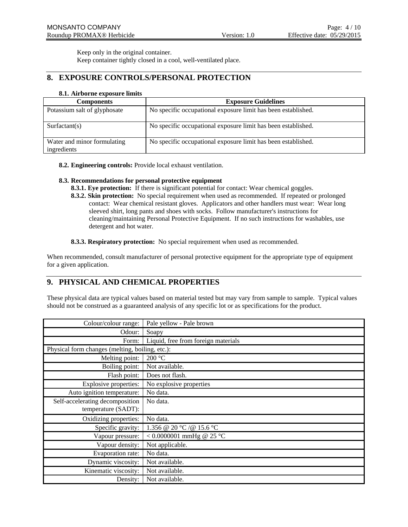Keep only in the original container.

Keep container tightly closed in a cool, well-ventilated place.

## **8. EXPOSURE CONTROLS/PERSONAL PROTECTION**

#### **8.1. Airborne exposure limits**

| <b>Components</b>                          | <b>Exposure Guidelines</b>                                    |
|--------------------------------------------|---------------------------------------------------------------|
| Potassium salt of glyphosate               | No specific occupational exposure limit has been established. |
| Surfactant(s)                              | No specific occupational exposure limit has been established. |
| Water and minor formulating<br>ingredients | No specific occupational exposure limit has been established. |

**8.2. Engineering controls:** Provide local exhaust ventilation.

### **8.3. Recommendations for personal protective equipment**

- **8.3.1. Eye protection:** If there is significant potential for contact: Wear chemical goggles.
- **8.3.2. Skin protection:** No special requirement when used as recommended. If repeated or prolonged contact: Wear chemical resistant gloves. Applicators and other handlers must wear: Wear long sleeved shirt, long pants and shoes with socks. Follow manufacturer's instructions for cleaning/maintaining Personal Protective Equipment. If no such instructions for washables, use detergent and hot water.

**8.3.3. Respiratory protection:** No special requirement when used as recommended.

When recommended, consult manufacturer of personal protective equipment for the appropriate type of equipment for a given application.

## **9. PHYSICAL AND CHEMICAL PROPERTIES**

These physical data are typical values based on material tested but may vary from sample to sample. Typical values should not be construed as a guaranteed analysis of any specific lot or as specifications for the product.

| Colour/colour range:                            | Pale yellow - Pale brown            |
|-------------------------------------------------|-------------------------------------|
| Odour:                                          | Soapy                               |
| Form:                                           | Liquid, free from foreign materials |
| Physical form changes (melting, boiling, etc.): |                                     |
| Melting point:                                  | 200 °C                              |
| Boiling point:                                  | Not available.                      |
| Flash point:                                    | Does not flash.                     |
| Explosive properties:                           | No explosive properties             |
| Auto ignition temperature:                      | No data.                            |
| Self-accelerating decomposition                 | No data.                            |
| temperature (SADT):                             |                                     |
| Oxidizing properties:                           | No data.                            |
| Specific gravity:                               | 1.356 @ 20 °C / @ 15.6 °C           |
| Vapour pressure:                                | <0.0000001 mmHg @ 25 °C             |
| Vapour density:                                 | Not applicable.                     |
| Evaporation rate:                               | No data.                            |
| Dynamic viscosity:                              | Not available.                      |
| Kinematic viscosity:                            | Not available.                      |
| Density:                                        | Not available.                      |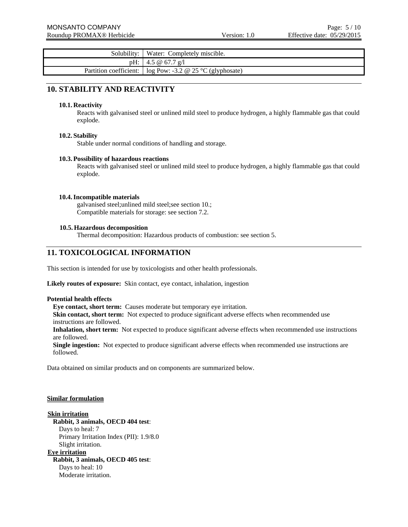| Solubility:            | Water: Completely miscible.               |
|------------------------|-------------------------------------------|
| pH:                    | 4.5 @ 67.7 g/l                            |
| Partition coefficient: | log Pow: -3.2 $\omega$ 25 °C (glyphosate) |

## **10. STABILITY AND REACTIVITY**

#### **10.1. Reactivity**

Reacts with galvanised steel or unlined mild steel to produce hydrogen, a highly flammable gas that could explode.

#### **10.2. Stability**

Stable under normal conditions of handling and storage.

#### **10.3. Possibility of hazardous reactions**

Reacts with galvanised steel or unlined mild steel to produce hydrogen, a highly flammable gas that could explode.

#### **10.4.Incompatible materials**

galvanised steel;unlined mild steel;see section 10.; Compatible materials for storage: see section 7.2.

#### **10.5. Hazardous decomposition**

Thermal decomposition: Hazardous products of combustion: see section 5.

## **11. TOXICOLOGICAL INFORMATION**

This section is intended for use by toxicologists and other health professionals.

Likely routes of exposure: Skin contact, eye contact, inhalation, ingestion

#### **Potential health effects**

**Eye contact, short term:** Causes moderate but temporary eye irritation.

**Skin contact, short term:** Not expected to produce significant adverse effects when recommended use instructions are followed.

**Inhalation, short term:** Not expected to produce significant adverse effects when recommended use instructions are followed.

**Single ingestion:** Not expected to produce significant adverse effects when recommended use instructions are followed.

Data obtained on similar products and on components are summarized below.

#### **Similar formulation**

**Skin irritation Rabbit, 3 animals, OECD 404 test**: Days to heal: 7 Primary Irritation Index (PII): 1.9/8.0 Slight irritation.

**Eye irritation Rabbit, 3 animals, OECD 405 test**: Days to heal: 10 Moderate irritation.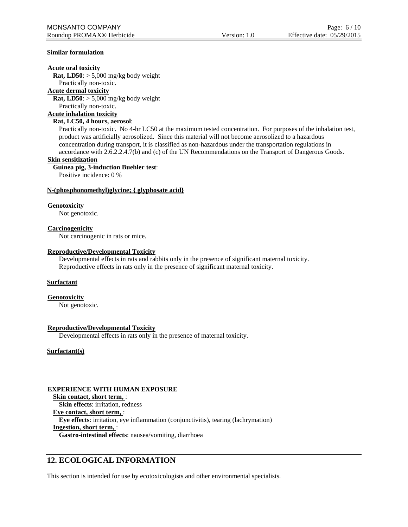#### **Similar formulation**

#### **Acute oral toxicity**

**Rat, LD50**: > 5,000 mg/kg body weight

Practically non-toxic.

#### **Acute dermal toxicity**

**Rat, LD50**: > 5,000 mg/kg body weight

Practically non-toxic.

#### **Acute inhalation toxicity**

#### **Rat, LC50, 4 hours, aerosol**:

Practically non-toxic. No 4-hr LC50 at the maximum tested concentration. For purposes of the inhalation test, product was artificially aerosolized. Since this material will not become aerosolized to a hazardous concentration during transport, it is classified as non-hazardous under the transportation regulations in accordance with 2.6.2.2.4.7(b) and (c) of the UN Recommendations on the Transport of Dangerous Goods.

#### **Skin sensitization**

#### **Guinea pig, 3-induction Buehler test**:

Positive incidence: 0 %

#### **N-(phosphonomethyl)glycine; { glyphosate acid}**

#### **Genotoxicity**

Not genotoxic.

#### **Carcinogenicity**

Not carcinogenic in rats or mice.

#### **Reproductive/Developmental Toxicity**

Developmental effects in rats and rabbits only in the presence of significant maternal toxicity. Reproductive effects in rats only in the presence of significant maternal toxicity.

#### **Surfactant**

#### **Genotoxicity**

Not genotoxic.

#### **Reproductive/Developmental Toxicity**

Developmental effects in rats only in the presence of maternal toxicity.

#### **Surfactant(s)**

### **EXPERIENCE WITH HUMAN EXPOSURE**

**Skin contact, short term,** : **Skin effects**: irritation, redness **Eye contact, short term,** : **Eye effects**: irritation, eye inflammation (conjunctivitis), tearing (lachrymation) **Ingestion, short term,** : **Gastro-intestinal effects**: nausea/vomiting, diarrhoea

## **12. ECOLOGICAL INFORMATION**

This section is intended for use by ecotoxicologists and other environmental specialists.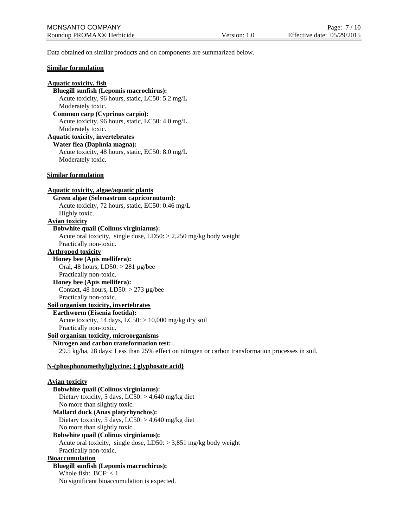Data obtained on similar products and on components are summarized below.

#### **Similar formulation**

## **Aquatic toxicity, fish Bluegill sunfish (Lepomis macrochirus):** Acute toxicity, 96 hours, static, LC50: 5.2 mg/L Moderately toxic. **Common carp (Cyprinus carpio):** Acute toxicity, 96 hours, static, LC50: 4.0 mg/L Moderately toxic. **Aquatic toxicity, invertebrates Water flea (Daphnia magna):** Acute toxicity, 48 hours, static, EC50: 8.0 mg/L Moderately toxic. **Similar formulation Aquatic toxicity, algae/aquatic plants Green algae (Selenastrum capricornutum):** Acute toxicity, 72 hours, static, EC50: 0.46 mg/L Highly toxic. **Avian toxicity Bobwhite quail (Colinus virginianus):** Acute oral toxicity, single dose, LD50: > 2,250 mg/kg body weight Practically non-toxic. **Arthropod toxicity Honey bee (Apis mellifera):** Oral, 48 hours, LD50: > 281 µg/bee Practically non-toxic. **Honey bee (Apis mellifera):** Contact, 48 hours,  $LD50: > 273 \mu g/bee$ Practically non-toxic. **Soil organism toxicity, invertebrates Earthworm (Eisenia foetida):** Acute toxicity, 14 days, LC50: > 10,000 mg/kg dry soil Practically non-toxic. **Soil organism toxicity, microorganisms Nitrogen and carbon transformation test:** 29.5 kg/ha, 28 days: Less than 25% effect on nitrogen or carbon transformation processes in soil. **N-(phosphonomethyl)glycine; { glyphosate acid} Avian toxicity Bobwhite quail (Colinus virginianus):** Dietary toxicity, 5 days,  $LC50$ :  $> 4,640$  mg/kg diet No more than slightly toxic. **Mallard duck (Anas platyrhynchos):** Dietary toxicity, 5 days,  $LC50$ :  $> 4,640$  mg/kg diet No more than slightly toxic. **Bobwhite quail (Colinus virginianus):** Acute oral toxicity, single dose, LD50: > 3,851 mg/kg body weight Practically non-toxic. **Bioaccumulation Bluegill sunfish (Lepomis macrochirus):** Whole fish:  $BCF: < 1$ No significant bioaccumulation is expected.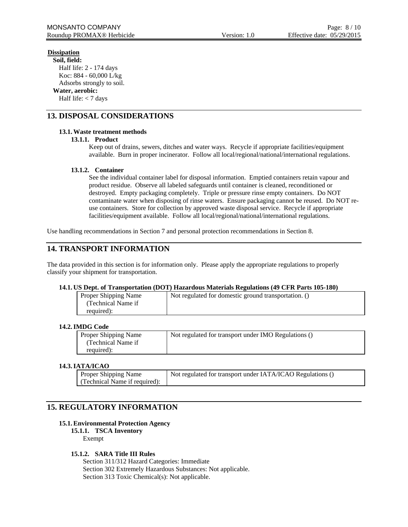## **Dissipation**

**Soil, field:** Half life: 2 - 174 days Koc: 884 - 60,000 L/kg Adsorbs strongly to soil. **Water, aerobic:** Half life: < 7 days

## **13. DISPOSAL CONSIDERATIONS**

### **13.1.Waste treatment methods**

#### **13.1.1. Product**

Keep out of drains, sewers, ditches and water ways. Recycle if appropriate facilities/equipment available. Burn in proper incinerator. Follow all local/regional/national/international regulations.

#### **13.1.2. Container**

See the individual container label for disposal information. Emptied containers retain vapour and product residue. Observe all labeled safeguards until container is cleaned, reconditioned or destroyed. Empty packaging completely. Triple or pressure rinse empty containers. Do NOT contaminate water when disposing of rinse waters. Ensure packaging cannot be reused. Do NOT reuse containers. Store for collection by approved waste disposal service. Recycle if appropriate facilities/equipment available. Follow all local/regional/national/international regulations.

Use handling recommendations in Section 7 and personal protection recommendations in Section 8.

## **14. TRANSPORT INFORMATION**

The data provided in this section is for information only. Please apply the appropriate regulations to properly classify your shipment for transportation.

#### **14.1. US Dept. of Transportation (DOT) Hazardous Materials Regulations (49 CFR Parts 105-180)**

| Proper Shipping Name | Not regulated for domestic ground transportation. () |
|----------------------|------------------------------------------------------|
| (Technical Name if   |                                                      |
| required):           |                                                      |

### **14.2.IMDG Code**

| Proper Shipping Name | Not regulated for transport under IMO Regulations () |
|----------------------|------------------------------------------------------|
| (Technical Name if)  |                                                      |
| required):           |                                                      |
|                      |                                                      |

#### **14.3.IATA/ICAO**

| <b>Proper Shipping Name</b>   | Not regulated for transport under IATA/ICAO Regulations () |
|-------------------------------|------------------------------------------------------------|
| (Technical Name if required): |                                                            |

## **15. REGULATORY INFORMATION**

#### **15.1.Environmental Protection Agency**

**15.1.1. TSCA Inventory** Exempt

## **15.1.2. SARA Title III Rules**

Section 311/312 Hazard Categories: Immediate Section 302 Extremely Hazardous Substances: Not applicable. Section 313 Toxic Chemical(s): Not applicable.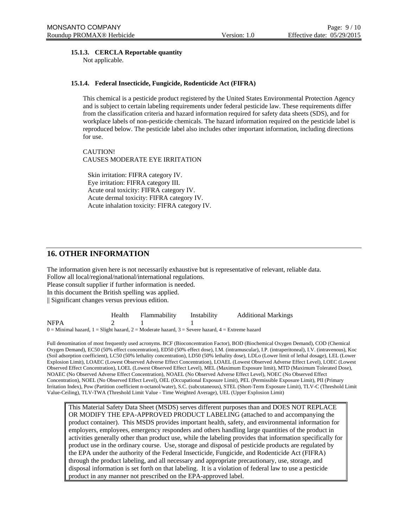#### **15.1.3. CERCLA Reportable quantity**

Not applicable.

#### **15.1.4. Federal Insecticide, Fungicide, Rodenticide Act (FIFRA)**

This chemical is a pesticide product registered by the United States Environmental Protection Agency and is subject to certain labeling requirements under federal pesticide law. These requirements differ from the classification criteria and hazard information required for safety data sheets (SDS), and for workplace labels of non-pesticide chemicals. The hazard information required on the pesticide label is reproduced below. The pesticide label also includes other important information, including directions for use.

CAUTION! CAUSES MODERATE EYE IRRITATION

Skin irritation: FIFRA category IV. Eye irritation: FIFRA category III. Acute oral toxicity: FIFRA category IV. Acute dermal toxicity: FIFRA category IV. Acute inhalation toxicity: FIFRA category IV.

## **16. OTHER INFORMATION**

The information given here is not necessarily exhaustive but is representative of relevant, reliable data. Follow all local/regional/national/international regulations. Please consult supplier if further information is needed. In this document the British spelling was applied.

|| Significant changes versus previous edition.

|                                                                                                             | Health | Flammability | Instability | <b>Additional Markings</b> |
|-------------------------------------------------------------------------------------------------------------|--------|--------------|-------------|----------------------------|
| <b>NFPA</b>                                                                                                 |        |              |             |                            |
| $0 =$ Minimal hazard, $1 =$ Slight hazard, $2 =$ Moderate hazard, $3 =$ Severe hazard, $4 =$ Extreme hazard |        |              |             |                            |

Full denomination of most frequently used acronyms. BCF (Bioconcentration Factor), BOD (Biochemical Oxygen Demand), COD (Chemical Oxygen Demand), EC50 (50% effect concentration), ED50 (50% effect dose), I.M. (intramuscular), I.P. (intraperitoneal), I.V. (intravenous), Koc (Soil adsorption coefficient), LC50 (50% lethality concentration), LD50 (50% lethality dose), LDLo (Lower limit of lethal dosage), LEL (Lower Explosion Limit), LOAEC (Lowest Observed Adverse Effect Concentration), LOAEL (Lowest Observed Adverse Effect Level), LOEC (Lowest Observed Effect Concentration), LOEL (Lowest Observed Effect Level), MEL (Maximum Exposure limit), MTD (Maximum Tolerated Dose), NOAEC (No Observed Adverse Effect Concentration), NOAEL (No Observed Adverse Effect Level), NOEC (No Observed Effect Concentration), NOEL (No Observed Effect Level), OEL (Occupational Exposure Limit), PEL (Permissible Exposure Limit), PII (Primary Irritation Index), Pow (Partition coefficient n-octanol/water), S.C. (subcutaneous), STEL (Short-Term Exposure Limit), TLV-C (Threshold Limit Value-Ceiling), TLV-TWA (Threshold Limit Value - Time Weighted Average), UEL (Upper Explosion Limit)

This Material Safety Data Sheet (MSDS) serves different purposes than and DOES NOT REPLACE OR MODIFY THE EPA-APPROVED PRODUCT LABELING (attached to and accompanying the product container). This MSDS provides important health, safety, and environmental information for employers, employees, emergency responders and others handling large quantities of the product in activities generally other than product use, while the labeling provides that information specifically for product use in the ordinary course. Use, storage and disposal of pesticide products are regulated by the EPA under the authority of the Federal Insecticide, Fungicide, and Rodenticide Act (FIFRA) through the product labeling, and all necessary and appropriate precautionary, use, storage, and disposal information is set forth on that labeling. It is a violation of federal law to use a pesticide product in any manner not prescribed on the EPA-approved label.